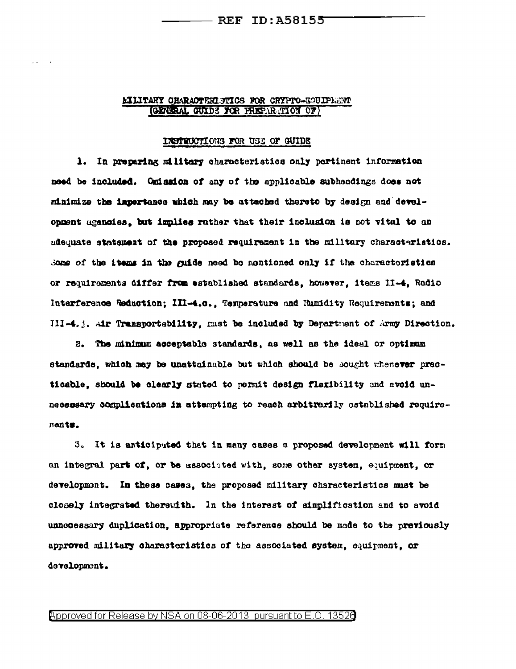#### **LILITARY CHARACTERISTICS FOR CRYPTO-EGUIPLEMY** (GENERAL GUIDE FOR PREPARATION OF)

#### INSTRUCTIONS FOR USE OF GUIDE

1. In preparing military characteristics only pertinent information need be included. Omission of any of the applicable subheadings does not minimize the importance which may be attached thereto by design and development agencies, but implies rather that their inclusion is not vital to an adequate statement of the proposed requirement in the military characteristics. Some of the items in the guide need be mentioned only if the charactoristics or requirements differ from established standards, however, items II-4, Radio Interference Reduction; III-4.c., Temperature and Humidity Requirements; and III-4.j. Air Transportability, must be included by Department of Army Direction.

2. The minimum acceptable standards, as well as the ideal or optimum standards, which may be unattainable but which should be sought whenever practicable, should be clearly stated to permit design flexibility and avoid unnecessary complications in attempting to reach arbitrarily ostablished requirements.

3. It is anticipated that in many cases a proposed development will form an integral part of, or be associated with, some other system, equipment, or development. In these cases, the proposed military characteristics must be closely integrated therewith. In the interest of simplification and to avoid unnecessary duplication, appropriate reference should be made to the previously approved military characteristics of the associated system, equipment, or development.

Approved for Release by NSA on 08-06-2013 pursuant to E.O. 13520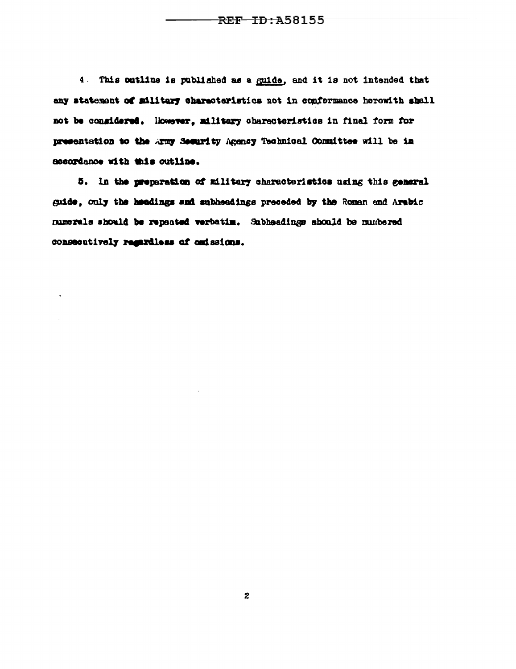4. This cutline is published as a guide, and it is not intended that any statement of military characteristics not in conformance herewith shall not be considered. However, military characteristics in final form for presentation to the Army Security Agency Technical Committee will be in accordance with this outline.

5. In the preparation of military characteristics using this general guide, only the headings and subheadings preceded by the Roman and Arabic numerals should be repeated verbatim. Subheadings should be numbered consecutively regardless of ondssions.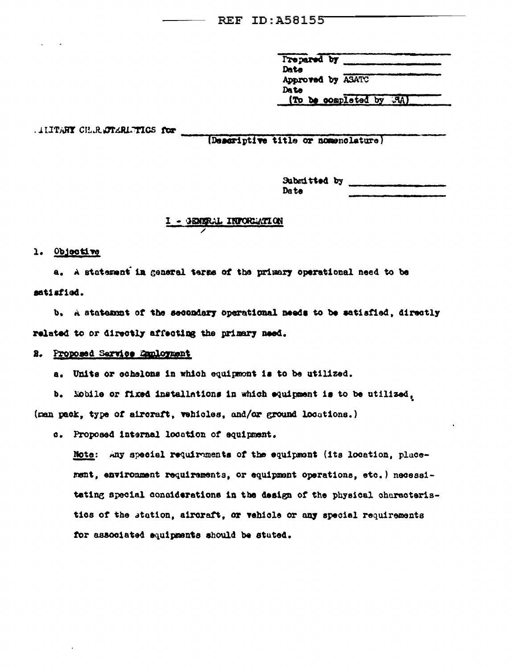Prepared by Date Approved by ASATC Date (To be completed by RA)

LITTARY CH.R.OTARLETICS for

(Descriptive title or nomenclature)

Submitted by Date

#### WE INFORMATION

#### 1. Objective

a. A statement in general terms of the primary operational need to be satisfied.

b. A statement of the secondary operational needs to be satisfied, directly related to or directly affecting the primary need.

### 2. Proposed Sarvice Employment

a. Units or schelons in which equipment is to be utilized.

b. Mobile or fixed installations in which equipment is to be utilized, (man pack, type of aircraft, vehicles, and/or ground locations.)

c. Proposed internal location of equipment.

Note: Any special requirements of the equipment (its location, placement, environment requirements, or equipment operations, etc. ) necessitating special considerations in the design of the physical characteristies of the station, aircraft, or vehicle or any special requirements for associated equipments should be stuted.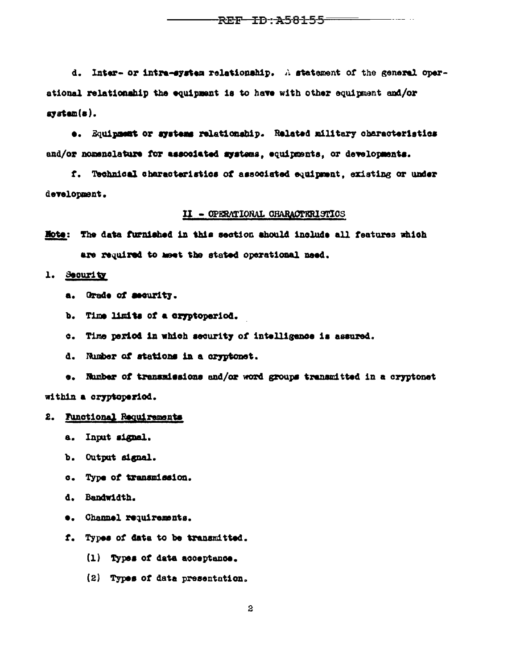-REF- ID : A58155

d. Inter- or intra-system relationship. A statement of the general operational relationship the equipment is to have with other equipment and/or  $\texttt{system}(\texttt{s}).$ 

e. Equipment or systems relationship. Related military characteristics and/or nomenclature for associated systems, equipments, or developments.

f. Technical characteristics of associated equipment, existing or under development.

#### II - OPERATIONAL CHARACTERISTICS

Hote: The data furnished in this section should include all features which are required to meet the stated operational need.

1. Security

- a. Grade of security.
- b. Time limits of a cryptoperiod.
- c. Time period in which security of intelligence is assured.
- d. Number of stations in a cryptonet.

e. Number of transmissions and/or word groups transmitted in a cryptonet within a cryptoperiod.

- 2. Functional Requirements
	- a. Input signal.
	- b. Output signal.
	- c. Type of transmission.
	- d. Bandwidth.
	- e. Channel requirements.
	- f. Types of data to be transmitted.
		- (1) Types of data acceptance.
		- (2) Types of data presentation.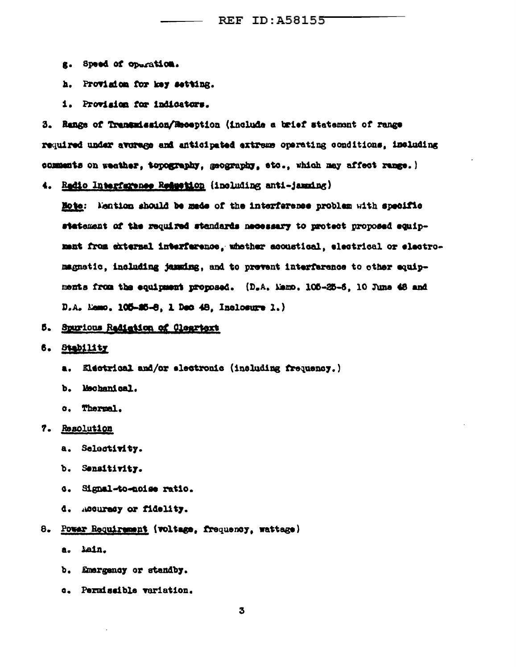- g. Speed of operation.
- h. Provision for key setting.
- 1. Provision for indicators.

3. Range of Transmission/Reception (include a brief statement of range required under average and anticipated extreme operating conditions, including comments on weather, topography, geography, etc., which may affect range.)

4. Radio Interfarence Reduction (including anti-jamming)

Mote: Mention should be mede of the interference problem with specific statement of the required standards necessary to protect proposed equipment from external interference, whether acoustical, electrical or electromagnetic, including jamming, and to prevent interference to other equipments from the equipment proposed. (D.A. Memo. 105-25-5. 10 June 48 and D.A. Mamo. 105-25-8, 1 Dec 48, Inclosure 1.)

- 5. Spurious Rediation of Cleartert
- 6. Stability
	- Electrical and/or electronic (including frequency.) a.
	- b. Mechanical.
	- c. Thermal.
- 7. Resolution
	- a. Selectivity.
	- b. Sensitivity.
	- c. Signal-to-noise ratio.
	- d. Accurecy or fidelity.
- 8. Power Requirement (voltage, frequency, wattage)
	- a. Lain.
	- b. Emergency or standby.
	- c. Permissible variation.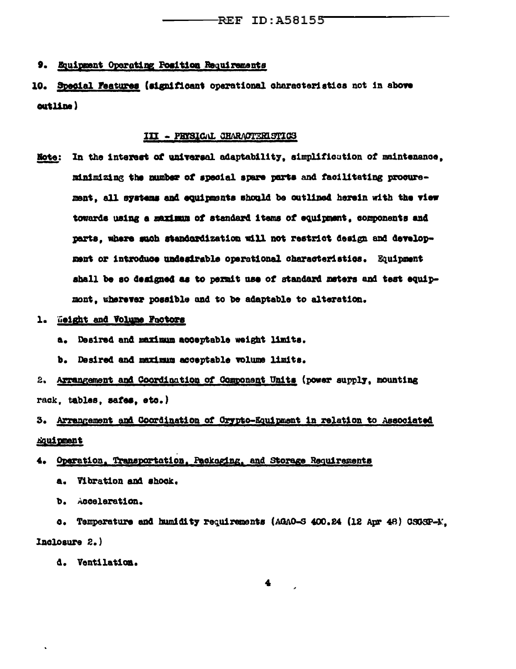#### 9. Equipment Operating Position Requirements

10. Special Features (significant operational characteristics not in above outline)

#### III - PHYSICAL CHARACTERISTICS

- In the interest of universal adaptability, simplification of maintenance, **Note:** minimizing the number of special spare parts and facilitating procurement, all systems and equipments should be outlined herein with the view towards using a maximum of standard items of equipment, components and parts, where such standardization will not restrict design and development or introduce undesirable operational characteristics. Equipment shall be so designed as to permit use of standard meters and test equipmont, wherever possible and to be adaptable to alteration.
- 1. Weight and Volume Factors
	- a. Desired and maximum acceptable weight limits.
	- b. Desired and maximum acceptable volume limits.
- 2. Arrangement and Coordination of Component Units (power supply, mounting rack, tables, safes, etc.)

# 3. Arrangement and Coordination of Crypto-Equipment in relation to Associated **Equipment**

# 4. Operation, Transportation, Packaging, and Storage Requirements

- a. Vibration and shock.
- b. Acceleration.

c. Temperature and humidity requirements (AGAO-S 400.24 (12 Apr 48) CSGSP-E. Inclosure 2.)

d. Ventilation.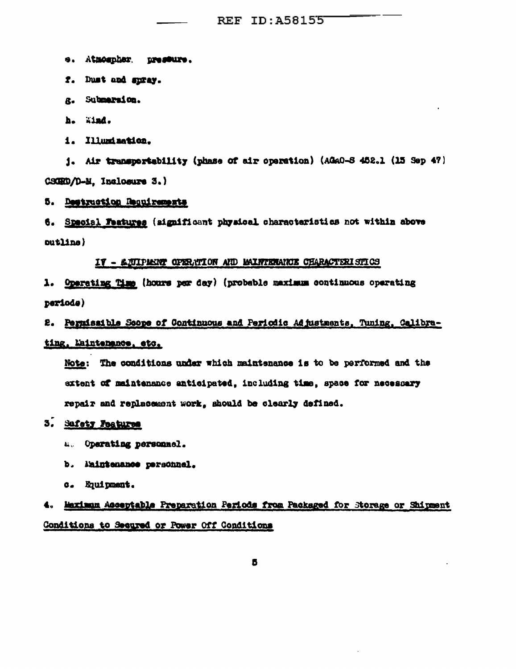e. Atmospher. pressure.

- f. Dust and spray.
- g. Submarsion.
- h. Wind.
- 1. Illumination.

j. Air transportability (phase of air operation) (AGAO-S 452.1 (15 Sep 47) CSCRD/D-M. Inclosure 3.)

# 5. Destruction Requirements

6. Special Features (significant physical characteristics not within above  $outLine)$ 

#### IT - LUIPPENT OPERATION AND MAINTENANCE CHARACTERISTICS

1. Operating Time (hours per day) (probable maximum continuous operating periode)

2. Permissible Scope of Continuous and Periodic Adjustments, Tuning, Calibrating, Laintenance, etc.

Note: The conditions under which maintenance is to be performed and the extent of maintenance anticipated, including time, space for necessary repair and replacement work, should be clearly defined.

# 3. Safety Features

- **4. Operating personnel.**
- b. Maintenance personnel.
- c. Equipment.

# 4. Maximum Acceptable Preparation Periods from Packaged for Storage or Shipment Conditions to Secured or Power Off Conditions